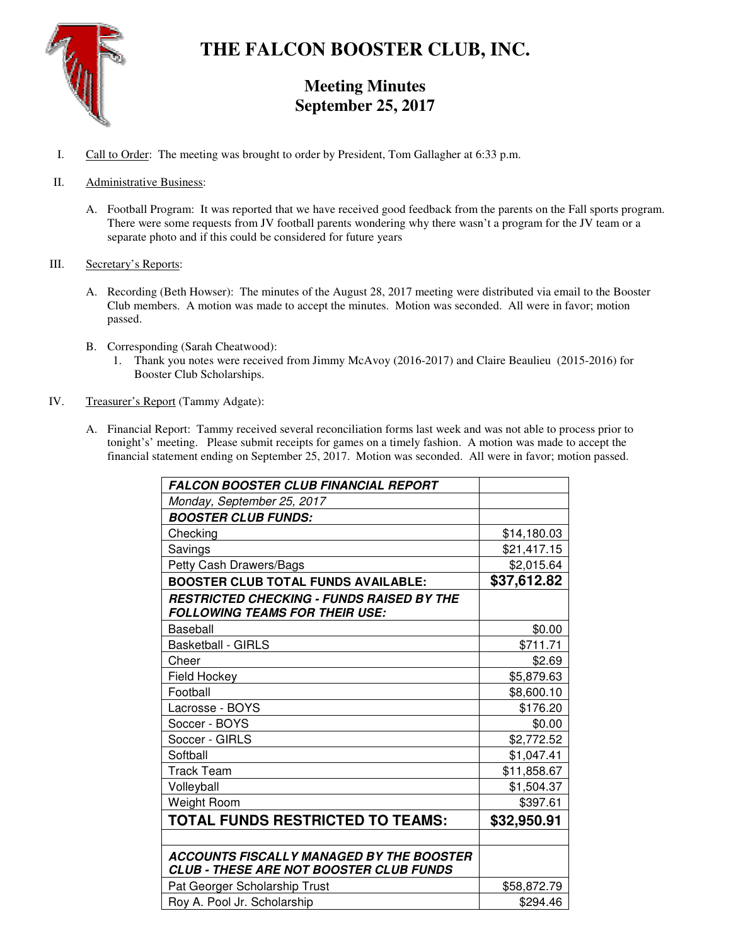

# **THE FALCON BOOSTER CLUB, INC.**

## **Meeting Minutes September 25, 2017**

- I. Call to Order: The meeting was brought to order by President, Tom Gallagher at 6:33 p.m.
- II. Administrative Business:
	- A. Football Program: It was reported that we have received good feedback from the parents on the Fall sports program. There were some requests from JV football parents wondering why there wasn't a program for the JV team or a separate photo and if this could be considered for future years
- III. Secretary's Reports:
	- A. Recording (Beth Howser): The minutes of the August 28, 2017 meeting were distributed via email to the Booster Club members. A motion was made to accept the minutes. Motion was seconded. All were in favor; motion passed.
	- B. Corresponding (Sarah Cheatwood):
		- 1. Thank you notes were received from Jimmy McAvoy (2016-2017) and Claire Beaulieu (2015-2016) for Booster Club Scholarships.
- IV. Treasurer's Report (Tammy Adgate):
	- A. Financial Report: Tammy received several reconciliation forms last week and was not able to process prior to tonight's' meeting. Please submit receipts for games on a timely fashion. A motion was made to accept the financial statement ending on September 25, 2017. Motion was seconded. All were in favor; motion passed.

| <b>FALCON BOOSTER CLUB FINANCIAL REPORT</b>                                                       |             |
|---------------------------------------------------------------------------------------------------|-------------|
| Monday, September 25, 2017                                                                        |             |
| <b>BOOSTER CLUB FUNDS:</b>                                                                        |             |
| Checking                                                                                          | \$14,180.03 |
| Savings                                                                                           | \$21,417.15 |
| Petty Cash Drawers/Bags                                                                           | \$2,015.64  |
| <b>BOOSTER CLUB TOTAL FUNDS AVAILABLE:</b>                                                        | \$37,612.82 |
| <b>RESTRICTED CHECKING - FUNDS RAISED BY THE</b><br><b>FOLLOWING TEAMS FOR THEIR USE:</b>         |             |
| Baseball                                                                                          | \$0.00      |
| <b>Basketball - GIRLS</b>                                                                         | \$711.71    |
| Cheer                                                                                             | \$2.69      |
| Field Hockey                                                                                      | \$5,879.63  |
| Football                                                                                          | \$8,600.10  |
| Lacrosse - BOYS                                                                                   | \$176.20    |
| Soccer - BOYS                                                                                     | \$0.00      |
| Soccer - GIRLS                                                                                    | \$2,772.52  |
| Softball                                                                                          | \$1,047.41  |
| Track Team                                                                                        | \$11,858.67 |
| Volleyball                                                                                        | \$1,504.37  |
| Weight Room                                                                                       | \$397.61    |
| TOTAL FUNDS RESTRICTED TO TEAMS:                                                                  | \$32,950.91 |
|                                                                                                   |             |
| <b>ACCOUNTS FISCALLY MANAGED BY THE BOOSTER</b><br><b>CLUB - THESE ARE NOT BOOSTER CLUB FUNDS</b> |             |
| Pat Georger Scholarship Trust                                                                     | \$58,872.79 |
| Roy A. Pool Jr. Scholarship                                                                       | \$294.46    |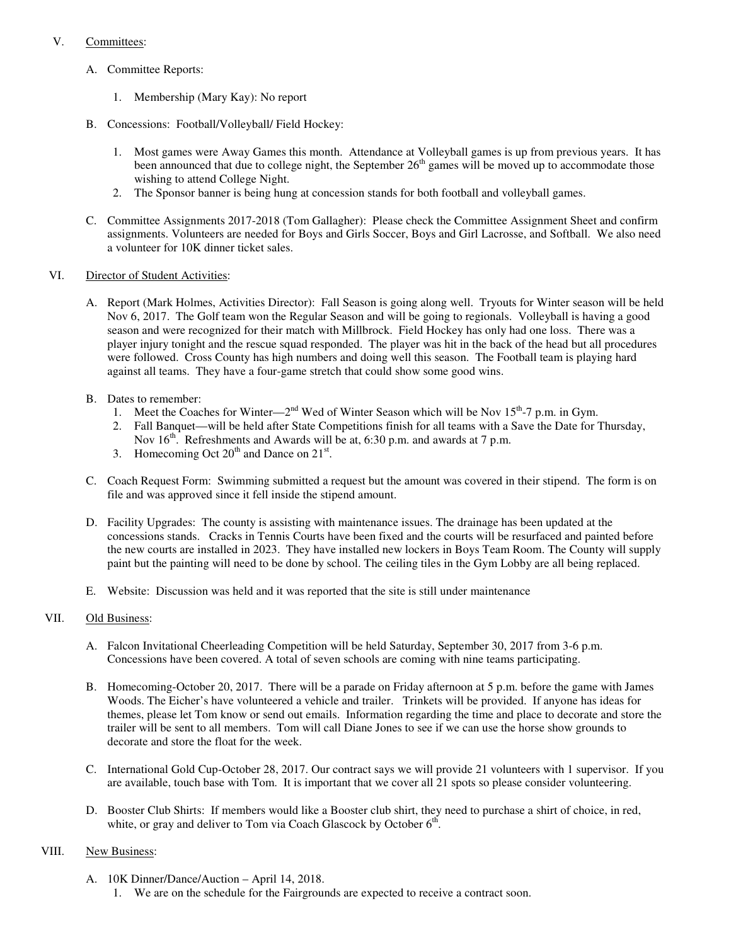#### V. Committees:

- A. Committee Reports:
	- 1. Membership (Mary Kay): No report
- B. Concessions: Football/Volleyball/ Field Hockey:
	- 1. Most games were Away Games this month. Attendance at Volleyball games is up from previous years. It has been announced that due to college night, the September  $26<sup>th</sup>$  games will be moved up to accommodate those wishing to attend College Night.
	- 2. The Sponsor banner is being hung at concession stands for both football and volleyball games.
- C. Committee Assignments 2017-2018 (Tom Gallagher): Please check the Committee Assignment Sheet and confirm assignments. Volunteers are needed for Boys and Girls Soccer, Boys and Girl Lacrosse, and Softball. We also need a volunteer for 10K dinner ticket sales.
- VI. Director of Student Activities:
	- A. Report (Mark Holmes, Activities Director): Fall Season is going along well. Tryouts for Winter season will be held Nov 6, 2017. The Golf team won the Regular Season and will be going to regionals. Volleyball is having a good season and were recognized for their match with Millbrock. Field Hockey has only had one loss. There was a player injury tonight and the rescue squad responded. The player was hit in the back of the head but all procedures were followed. Cross County has high numbers and doing well this season. The Football team is playing hard against all teams. They have a four-game stretch that could show some good wins.
	- B. Dates to remember:
		- 1. Meet the Coaches for Winter— $2<sup>nd</sup>$  Wed of Winter Season which will be Nov 15<sup>th</sup>-7 p.m. in Gym.
		- 2. Fall Banquet—will be held after State Competitions finish for all teams with a Save the Date for Thursday, Nov  $16<sup>th</sup>$ . Refreshments and Awards will be at, 6:30 p.m. and awards at 7 p.m.
		- 3. Homecoming Oct  $20^{th}$  and Dance on  $21^{st}$ .
	- C. Coach Request Form: Swimming submitted a request but the amount was covered in their stipend. The form is on file and was approved since it fell inside the stipend amount.
	- D. Facility Upgrades: The county is assisting with maintenance issues. The drainage has been updated at the concessions stands. Cracks in Tennis Courts have been fixed and the courts will be resurfaced and painted before the new courts are installed in 2023. They have installed new lockers in Boys Team Room. The County will supply paint but the painting will need to be done by school. The ceiling tiles in the Gym Lobby are all being replaced.
	- E. Website: Discussion was held and it was reported that the site is still under maintenance

### VII. Old Business:

- A. Falcon Invitational Cheerleading Competition will be held Saturday, September 30, 2017 from 3-6 p.m. Concessions have been covered. A total of seven schools are coming with nine teams participating.
- B. Homecoming-October 20, 2017. There will be a parade on Friday afternoon at 5 p.m. before the game with James Woods. The Eicher's have volunteered a vehicle and trailer. Trinkets will be provided. If anyone has ideas for themes, please let Tom know or send out emails. Information regarding the time and place to decorate and store the trailer will be sent to all members. Tom will call Diane Jones to see if we can use the horse show grounds to decorate and store the float for the week.
- C. International Gold Cup-October 28, 2017. Our contract says we will provide 21 volunteers with 1 supervisor. If you are available, touch base with Tom. It is important that we cover all 21 spots so please consider volunteering.
- D. Booster Club Shirts: If members would like a Booster club shirt, they need to purchase a shirt of choice, in red, white, or gray and deliver to Tom via Coach Glascock by October  $6<sup>th</sup>$ .

#### VIII. New Business:

A. 10K Dinner/Dance/Auction – April 14, 2018. 1. We are on the schedule for the Fairgrounds are expected to receive a contract soon.